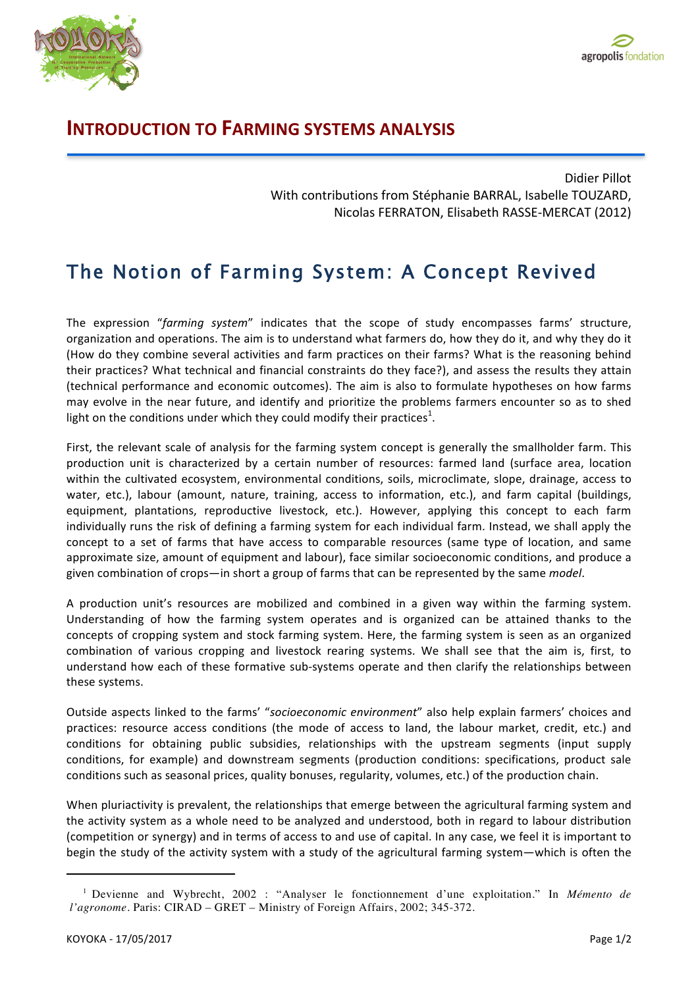

## **INTRODUCTION TO FARMING SYSTEMS ANALYSIS**

Didier Pillot With contributions from Stéphanie BARRAL, Isabelle TOUZARD, Nicolas FERRATON, Elisabeth RASSE-MERCAT (2012)

## The Notion of Farming System: A Concept Revived

The expression "farming system" indicates that the scope of study encompasses farms' structure, organization and operations. The aim is to understand what farmers do, how they do it, and why they do it (How do they combine several activities and farm practices on their farms? What is the reasoning behind their practices? What technical and financial constraints do they face?), and assess the results they attain (technical performance and economic outcomes). The aim is also to formulate hypotheses on how farms may evolve in the near future, and identify and prioritize the problems farmers encounter so as to shed light on the conditions under which they could modify their practices<sup>1</sup>.

First, the relevant scale of analysis for the farming system concept is generally the smallholder farm. This production unit is characterized by a certain number of resources: farmed land (surface area, location within the cultivated ecosystem, environmental conditions, soils, microclimate, slope, drainage, access to water, etc.), labour (amount, nature, training, access to information, etc.), and farm capital (buildings, equipment, plantations, reproductive livestock, etc.). However, applying this concept to each farm individually runs the risk of defining a farming system for each individual farm. Instead, we shall apply the concept to a set of farms that have access to comparable resources (same type of location, and same approximate size, amount of equipment and labour), face similar socioeconomic conditions, and produce a given combination of crops—in short a group of farms that can be represented by the same *model*.

A production unit's resources are mobilized and combined in a given way within the farming system. Understanding of how the farming system operates and is organized can be attained thanks to the concepts of cropping system and stock farming system. Here, the farming system is seen as an organized combination of various cropping and livestock rearing systems. We shall see that the aim is, first, to understand how each of these formative sub-systems operate and then clarify the relationships between these systems.

Outside aspects linked to the farms' "socioeconomic environment" also help explain farmers' choices and practices: resource access conditions (the mode of access to land, the labour market, credit, etc.) and conditions for obtaining public subsidies, relationships with the upstream segments (input supply conditions, for example) and downstream segments (production conditions: specifications, product sale conditions such as seasonal prices, quality bonuses, regularity, volumes, etc.) of the production chain.

When pluriactivity is prevalent, the relationships that emerge between the agricultural farming system and the activity system as a whole need to be analyzed and understood, both in regard to labour distribution (competition or synergy) and in terms of access to and use of capital. In any case, we feel it is important to begin the study of the activity system with a study of the agricultural farming system—which is often the

<u> 1989 - Jan Samuel Barbara, margaret e</u>

<sup>1</sup> Devienne and Wybrecht, 2002 : "Analyser le fonctionnement d'une exploitation." In *Mémento de l'agronome*. Paris: CIRAD – GRET – Ministry of Foreign Affairs, 2002; 345-372.